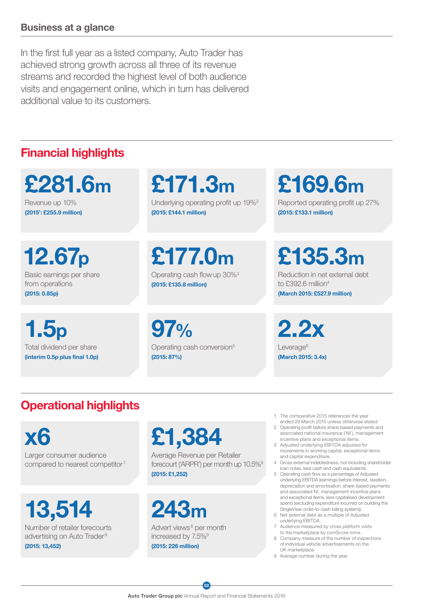### Business at a glance

In the first full year as a listed company, Auto Trader has achieved strong growth across all three of its revenue streams and recorded the highest level of both audience visits and engagement online, which in turn has delivered additional value to its customers.

## Financial highlights

£281.6m Revenue up 10% (20151 : £255.9 million)

 12.67p Basic earnings per share from operations (2015: 0.85p)

1.5p Total dividend per share (interim 0.5p plus final 1.0p)

# £171.3m

Underlying operating profit up 19%2 (2015: £144.1 million)

£169.6m

Reported operating profit up 27% (2015: £133.1 million)

£177.0m Operating cash flowup 30%3

(2015: £135.8 million)

97% Operating cash conversion<sup>5</sup> (2015: 87%)

£135.3m

Reduction in net external debt to £392.6 million<sup>4</sup> (March 2015: £527.9 million)

2.2x Leverage<sup>6</sup> (March 2015: 3.4x)

## Operational highlights

x6 Larger consumer audience compared to nearest competitor<sup>7</sup>

13,514

Number of retailer forecourts advertising on Auto Trader<sup>s</sup> (2015: 13,452)

# £1,384

Average Revenue per Retailer forecourt ('ARPR') per month up 10.5%9 (2015: £1,252)

243m

Advert views<sup>8</sup> per month increased by 7.5%<sup>9</sup> (2015: 226 million)

- 1 The comparative 2015 references the year
- ended 29 March 2015 unless otherwise stated. 2 Operating profit before share-based payments and associated national insurance ('NI'), management
- incentive plans and exceptional items. 3 Adjusted underlying EBITDA adjusted for movements in working capital, exceptional items and capital expenditure.
- 4 Gross external indebtedness, not including shareholder loan notes, less cash and cash equivalent
- 5 Operating cash flow as a percentage of Adjusted underlying EBITDA (earnings before interest, taxation, depreciation and amortisation, share-based payments and associated NI, management incentive plans and exceptional items, less capitalised development spend (excluding expenditure incurred on building the SingleView order-to-cash billing system)).
- 6 Net external debt as a multiple of Adjusted underlying EBITDA.
- 7 Audience measured by cross platform visits to the marketplace by comScore mmx.
- 8 Company measure of the number of inspections of individual vehicle advertisements on the UK marketplace.
- 9 Average number during the year.